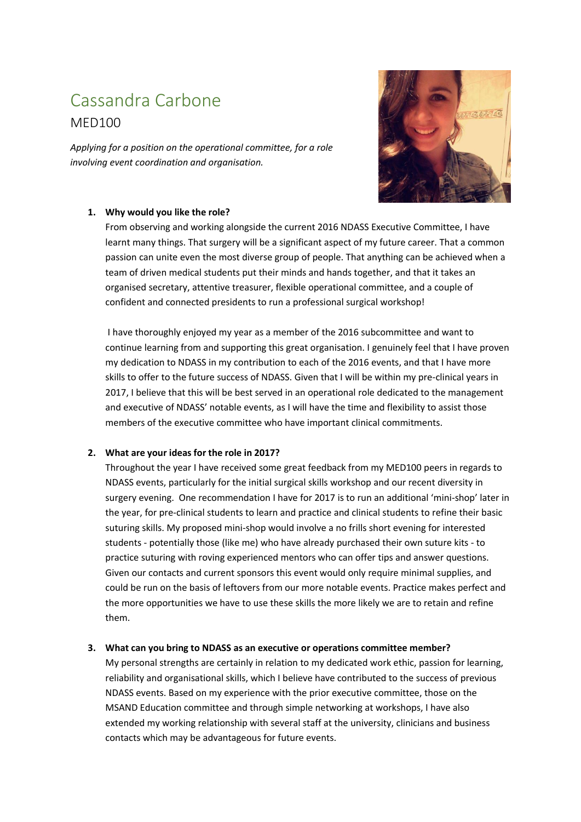# Cassandra Carbone MED100

*Applying for a position on the operational committee, for a role involving event coordination and organisation.*



### **1. Why would you like the role?**

From observing and working alongside the current 2016 NDASS Executive Committee, I have learnt many things. That surgery will be a significant aspect of my future career. That a common passion can unite even the most diverse group of people. That anything can be achieved when a team of driven medical students put their minds and hands together, and that it takes an organised secretary, attentive treasurer, flexible operational committee, and a couple of confident and connected presidents to run a professional surgical workshop!

I have thoroughly enjoyed my year as a member of the 2016 subcommittee and want to continue learning from and supporting this great organisation. I genuinely feel that I have proven my dedication to NDASS in my contribution to each of the 2016 events, and that I have more skills to offer to the future success of NDASS. Given that I will be within my pre-clinical years in 2017, I believe that this will be best served in an operational role dedicated to the management and executive of NDASS' notable events, as I will have the time and flexibility to assist those members of the executive committee who have important clinical commitments.

#### **2. What are your ideas for the role in 2017?**

Throughout the year I have received some great feedback from my MED100 peers in regards to NDASS events, particularly for the initial surgical skills workshop and our recent diversity in surgery evening. One recommendation I have for 2017 is to run an additional 'mini-shop' later in the year, for pre-clinical students to learn and practice and clinical students to refine their basic suturing skills. My proposed mini-shop would involve a no frills short evening for interested students - potentially those (like me) who have already purchased their own suture kits - to practice suturing with roving experienced mentors who can offer tips and answer questions. Given our contacts and current sponsors this event would only require minimal supplies, and could be run on the basis of leftovers from our more notable events. Practice makes perfect and the more opportunities we have to use these skills the more likely we are to retain and refine them.

## **3. What can you bring to NDASS as an executive or operations committee member?**

My personal strengths are certainly in relation to my dedicated work ethic, passion for learning, reliability and organisational skills, which I believe have contributed to the success of previous NDASS events. Based on my experience with the prior executive committee, those on the MSAND Education committee and through simple networking at workshops, I have also extended my working relationship with several staff at the university, clinicians and business contacts which may be advantageous for future events.